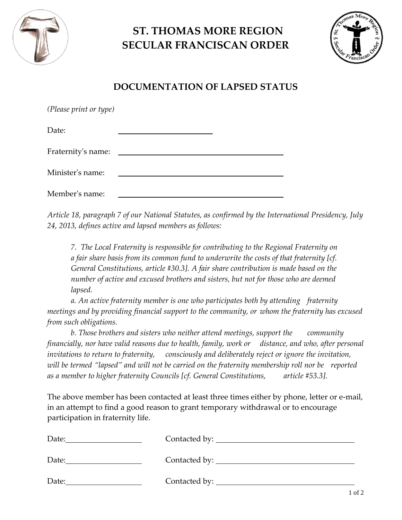

## **ST. THOMAS MORE REGION SECULAR FRANCISCAN ORDER**



## **DOCUMENTATION OF LAPSED STATUS**

| (Please print or type) |  |
|------------------------|--|
| Date:                  |  |
| Fraternity's name:     |  |
| Minister's name:       |  |
| Member's name:         |  |

*Article 18, paragraph 7 of our National Statutes, as confirmed by the International Presidency, July 24, 2013, defines active and lapsed members as follows:* 

*7. The Local Fraternity is responsible for contributing to the Regional Fraternity on a fair share basis from its common fund to underwrite the costs of that fraternity [cf. General Constitutions, article #30.3]. A fair share contribution is made based on the number of active and excused brothers and sisters, but not for those who are deemed lapsed.* 

*a. An active fraternity member is one who participates both by attending fraternity meetings and by providing financial support to the community, or whom the fraternity has excused from such obligations.* 

*b. Those brothers and sisters who neither attend meetings, support the community financially, nor have valid reasons due to health, family, work or distance, and who, after personal invitations to return to fraternity, consciously and deliberately reject or ignore the invitation, will be termed "lapsed" and will not be carried on the fraternity membership roll nor be reported as a member to higher fraternity Councils [cf. General Constitutions, article #53.3].* 

The above member has been contacted at least three times either by phone, letter or e-mail, in an attempt to find a good reason to grant temporary withdrawal or to encourage participation in fraternity life.

| Date: |  |
|-------|--|
| Date: |  |
| Date: |  |